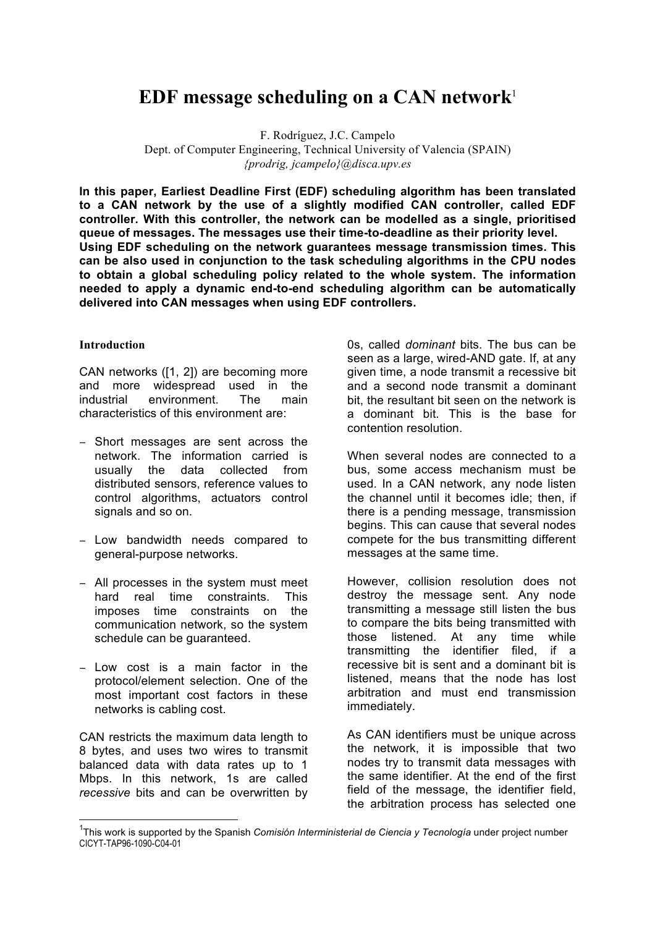# **EDF message scheduling on a CAN network**<sup>1</sup>

F. Rodríguez, J.C. Campelo Dept. of Computer Engineering, Technical University of Valencia (SPAIN) *{prodrig, jcampelo}@disca.upv.es*

**In this paper, Earliest Deadline First (EDF) scheduling algorithm has been translated to a CAN network by the use of a slightly modified CAN controller, called EDF controller. With this controller, the network can be modelled as a single, prioritised queue of messages. The messages use their time-to-deadline as their priority level. Using EDF scheduling on the network guarantees message transmission times. This can be also used in conjunction to the task scheduling algorithms in the CPU nodes to obtain a global scheduling policy related to the whole system. The information needed to apply a dynamic end-to-end scheduling algorithm can be automatically delivered into CAN messages when using EDF controllers.**

#### **Introduction**

CAN networks ([1, 2]) are becoming more and more widespread used in the industrial environment. The main characteristics of this environment are:

- − Short messages are sent across the network. The information carried is usually the data collected from distributed sensors, reference values to control algorithms, actuators control signals and so on.
- − Low bandwidth needs compared to general-purpose networks.
- − All processes in the system must meet hard real time constraints. This imposes time constraints on the communication network, so the system schedule can be guaranteed.
- − Low cost is a main factor in the protocol/element selection. One of the most important cost factors in these networks is cabling cost.

CAN restricts the maximum data length to 8 bytes, and uses two wires to transmit balanced data with data rates up to 1 Mbps. In this network, 1s are called *recessive* bits and can be overwritten by

0s, called *dominant* bits. The bus can be seen as a large, wired-AND gate. If, at any given time, a node transmit a recessive bit and a second node transmit a dominant bit, the resultant bit seen on the network is a dominant bit. This is the base for contention resolution.

When several nodes are connected to a bus, some access mechanism must be used. In a CAN network, any node listen the channel until it becomes idle; then, if there is a pending message, transmission begins. This can cause that several nodes compete for the bus transmitting different messages at the same time.

However, collision resolution does not destroy the message sent. Any node transmitting a message still listen the bus to compare the bits being transmitted with those listened. At any time while transmitting the identifier filed, if a recessive bit is sent and a dominant bit is listened, means that the node has lost arbitration and must end transmission immediately.

As CAN identifiers must be unique across the network, it is impossible that two nodes try to transmit data messages with the same identifier. At the end of the first field of the message, the identifier field, the arbitration process has selected one

 <sup>1</sup> This work is supported by the Spanish *Comisión Interministerial de Ciencia y Tecnología* under project number CICYT-TAP96-1090-C04-01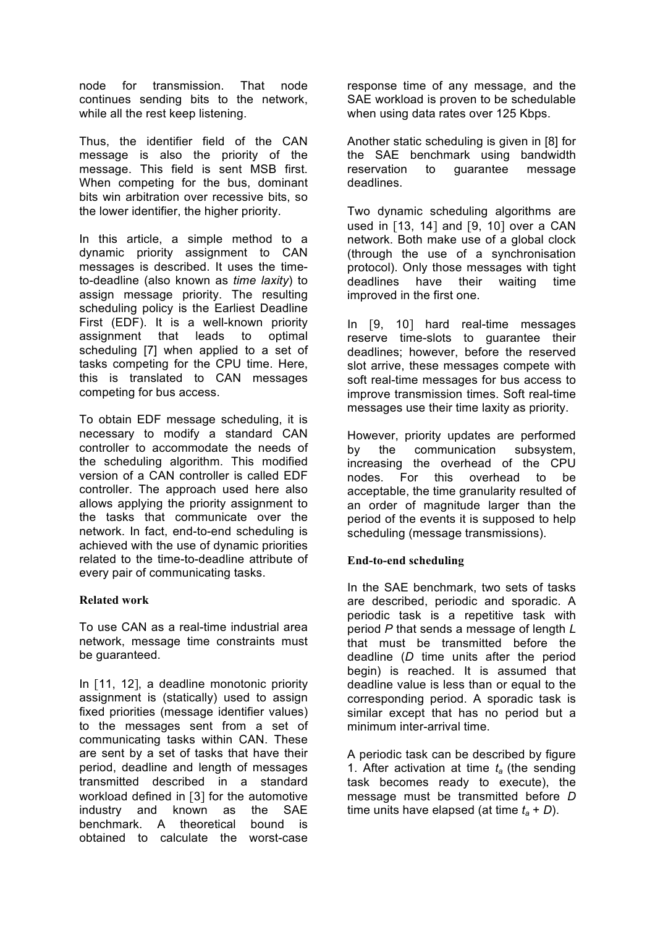node for transmission. That node continues sending bits to the network, while all the rest keep listening.

Thus, the identifier field of the CAN message is also the priority of the message. This field is sent MSB first. When competing for the bus, dominant bits win arbitration over recessive bits, so the lower identifier, the higher priority.

In this article, a simple method to a dynamic priority assignment to CAN messages is described. It uses the timeto-deadline (also known as *time laxity*) to assign message priority. The resulting scheduling policy is the Earliest Deadline First (EDF). It is a well-known priority assignment that leads to optimal scheduling [7] when applied to a set of tasks competing for the CPU time. Here, this is translated to CAN messages competing for bus access.

To obtain EDF message scheduling, it is necessary to modify a standard CAN controller to accommodate the needs of the scheduling algorithm. This modified version of a CAN controller is called EDF controller. The approach used here also allows applying the priority assignment to the tasks that communicate over the network. In fact, end-to-end scheduling is achieved with the use of dynamic priorities related to the time-to-deadline attribute of every pair of communicating tasks.

## **Related work**

To use CAN as a real-time industrial area network, message time constraints must be guaranteed.

In [11, 12], a deadline monotonic priority assignment is (statically) used to assign fixed priorities (message identifier values) to the messages sent from a set of communicating tasks within CAN. These are sent by a set of tasks that have their period, deadline and length of messages transmitted described in a standard workload defined in [3] for the automotive industry and known as the SAE benchmark. A theoretical bound is obtained to calculate the worst-case

response time of any message, and the SAE workload is proven to be schedulable when using data rates over 125 Kbps.

Another static scheduling is given in [8] for the SAE benchmark using bandwidth reservation to guarantee message deadlines.

Two dynamic scheduling algorithms are used in [13, 14] and [9, 10] over a CAN network. Both make use of a global clock (through the use of a synchronisation protocol). Only those messages with tight deadlines have their waiting time improved in the first one.

In [9, 10] hard real-time messages reserve time-slots to guarantee their deadlines; however, before the reserved slot arrive, these messages compete with soft real-time messages for bus access to improve transmission times. Soft real-time messages use their time laxity as priority.

However, priority updates are performed by the communication subsystem, increasing the overhead of the CPU nodes. For this overhead to be acceptable, the time granularity resulted of an order of magnitude larger than the period of the events it is supposed to help scheduling (message transmissions).

## **End-to-end scheduling**

In the SAE benchmark, two sets of tasks are described, periodic and sporadic. A periodic task is a repetitive task with period *P* that sends a message of length *L* that must be transmitted before the deadline (*D* time units after the period begin) is reached. It is assumed that deadline value is less than or equal to the corresponding period. A sporadic task is similar except that has no period but a minimum inter-arrival time.

A periodic task can be described by figure 1. After activation at time  $t_a$  (the sending task becomes ready to execute), the message must be transmitted before *D* time units have elapsed (at time  $t_a + D$ ).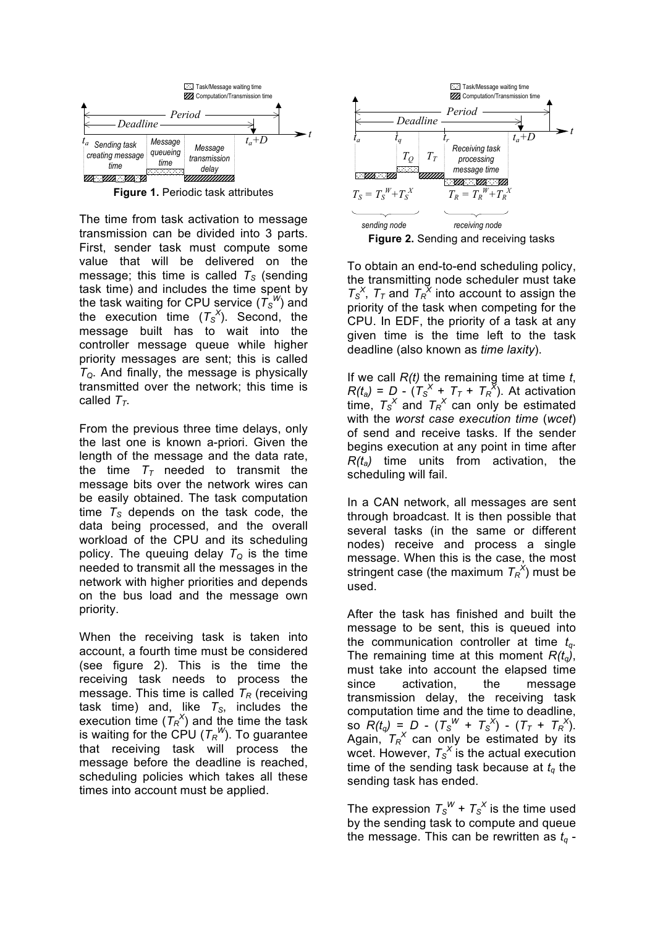

**Figure 1.** Periodic task attributes

The time from task activation to message transmission can be divided into 3 parts. First, sender task must compute some value that will be delivered on the message; this time is called  $T<sub>S</sub>$  (sending task time) and includes the time spent by the task waiting for CPU service  $(T_S^W)$  and the execution time  $(T_S^X)$ . Second, the message built has to wait into the controller message queue while higher priority messages are sent; this is called  $T<sub>Q</sub>$ . And finally, the message is physically transmitted over the network; this time is called  $T_T$ .

From the previous three time delays, only the last one is known a-priori. Given the length of the message and the data rate, the time  $T<sub>T</sub>$  needed to transmit the message bits over the network wires can be easily obtained. The task computation time  $T<sub>S</sub>$  depends on the task code, the data being processed, and the overall workload of the CPU and its scheduling policy. The queuing delay  $T_{\mathcal{Q}}$  is the time needed to transmit all the messages in the network with higher priorities and depends on the bus load and the message own priority.

When the receiving task is taken into account, a fourth time must be considered (see figure 2). This is the time the receiving task needs to process the message. This time is called  $T_R$  (receiving task time) and, like  $T<sub>S</sub>$ , includes the execution time  $(T_R^X)$  and the time the task is waiting for the CPU ( $T_R^W$ ). To guarantee that receiving task will process the message before the deadline is reached, scheduling policies which takes all these times into account must be applied.



To obtain an end-to-end scheduling policy, the transmitting node scheduler must take  $T_S^X$ ,  $T_T$  and  $T_R^X$  into account to assign the priority of the task when competing for the CPU. In EDF, the priority of a task at any given time is the time left to the task deadline (also known as *time laxity*).

If we call *R(t)* the remaining time at time *t*,  $R(t_a) = D - (T_s^X + T_T + T_R^X)$ . At activation time,  $T_s^X$  and  $T_R^X$  can only be estimated with the *worst case execution time* (*wcet*) of send and receive tasks. If the sender begins execution at any point in time after *R(ta)* time units from activation, the scheduling will fail.

In a CAN network, all messages are sent through broadcast. It is then possible that several tasks (in the same or different nodes) receive and process a single message. When this is the case, the most stringent case (the maximum  $T_R^{\ X}$ ) must be used.

After the task has finished and built the message to be sent, this is queued into the communication controller at time  $t_{q}$ . The remaining time at this moment  $R(t_q)$ , must take into account the elapsed time since activation, the message transmission delay, the receiving task computation time and the time to deadline, so  $R(t_q) = D - (T_S^W + T_S^X) - (T_T + T_R^X).$ Again,  $T_R^X$  can only be estimated by its wcet. However,  $T_s^X$  is the actual execution time of the sending task because at  $t<sub>q</sub>$  the sending task has ended.

The expression  $T_s^W$  +  $T_s^X$  is the time used by the sending task to compute and queue the message. This can be rewritten as  $t_q$  -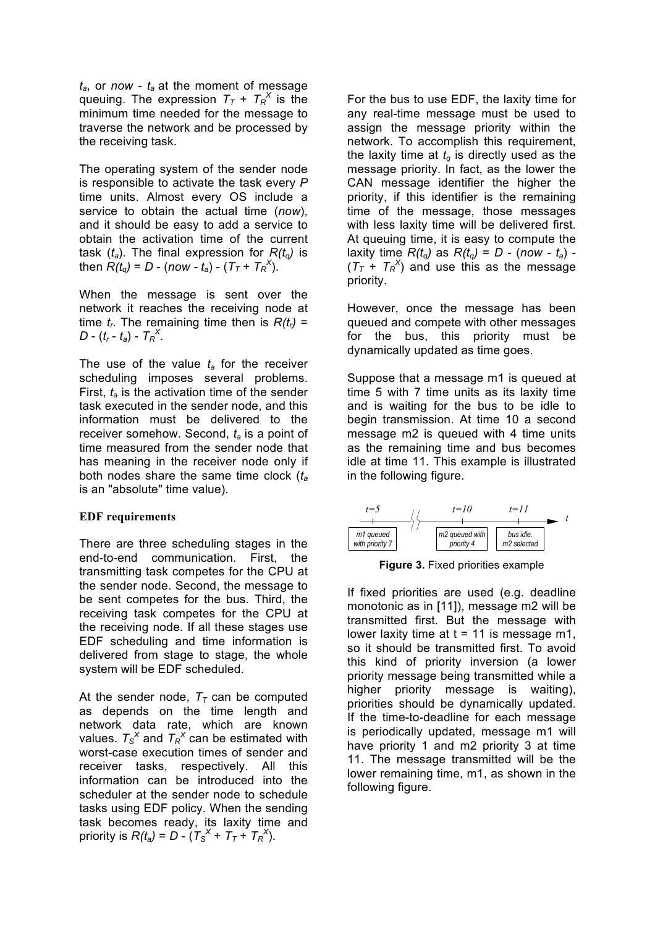*ta*, or *now* - *ta* at the moment of message queuing. The expression  $T_T + T_R^X$  is the minimum time needed for the message to traverse the network and be processed by the receiving task.

The operating system of the sender node is responsible to activate the task every *P* time units. Almost every OS include a service to obtain the actual time (*now*), and it should be easy to add a service to obtain the activation time of the current task  $(t_a)$ . The final expression for  $R(t_a)$  is then  $R(t_q) = D - (now - t_q) - (T_T + T_R^X)$ .

When the message is sent over the network it reaches the receiving node at time  $t_r$ . The remaining time then is  $R(t_r)$  = *D* - ( $t_r$  -  $t_a$ ) -  $T_R^X$ .

The use of the value  $t_a$  for the receiver scheduling imposes several problems. First, *ta* is the activation time of the sender task executed in the sender node, and this information must be delivered to the receiver somehow. Second, *ta* is a point of time measured from the sender node that has meaning in the receiver node only if both nodes share the same time clock (*ta* is an "absolute" time value).

#### **EDF requirements**

There are three scheduling stages in the end-to-end communication. First, the transmitting task competes for the CPU at the sender node. Second, the message to be sent competes for the bus. Third, the receiving task competes for the CPU at the receiving node. If all these stages use EDF scheduling and time information is delivered from stage to stage, the whole system will be EDF scheduled.

At the sender node,  $T<sub>T</sub>$  can be computed as depends on the time length and network data rate, which are known values.  $T_s^X$  and  $T_R^X$  can be estimated with worst-case execution times of sender and receiver tasks, respectively. All this information can be introduced into the scheduler at the sender node to schedule tasks using EDF policy. When the sending task becomes ready, its laxity time and priority is  $R(t_a) = D - (T_S^X + T_T + T_R^X).$ 

For the bus to use EDF, the laxity time for any real-time message must be used to assign the message priority within the network. To accomplish this requirement, the laxity time at  $t_q$  is directly used as the message priority. In fact, as the lower the CAN message identifier the higher the priority, if this identifier is the remaining time of the message, those messages with less laxity time will be delivered first. At queuing time, it is easy to compute the laxity time  $R(t_q)$  as  $R(t_q) = D - (now - t_q) (T_T + T_R^X)$  and use this as the message priority.

However, once the message has been queued and compete with other messages for the bus, this priority must be dynamically updated as time goes.

Suppose that a message m1 is queued at time 5 with 7 time units as its laxity time and is waiting for the bus to be idle to begin transmission. At time 10 a second message m2 is queued with 4 time units as the remaining time and bus becomes idle at time 11. This example is illustrated in the following figure.



**Figure 3.** Fixed priorities example

If fixed priorities are used (e.g. deadline monotonic as in [11]), message m2 will be transmitted first. But the message with lower laxity time at  $t = 11$  is message m1, so it should be transmitted first. To avoid this kind of priority inversion (a lower priority message being transmitted while a higher priority message is waiting), priorities should be dynamically updated. If the time-to-deadline for each message is periodically updated, message m1 will have priority 1 and m2 priority 3 at time 11. The message transmitted will be the lower remaining time, m1, as shown in the following figure.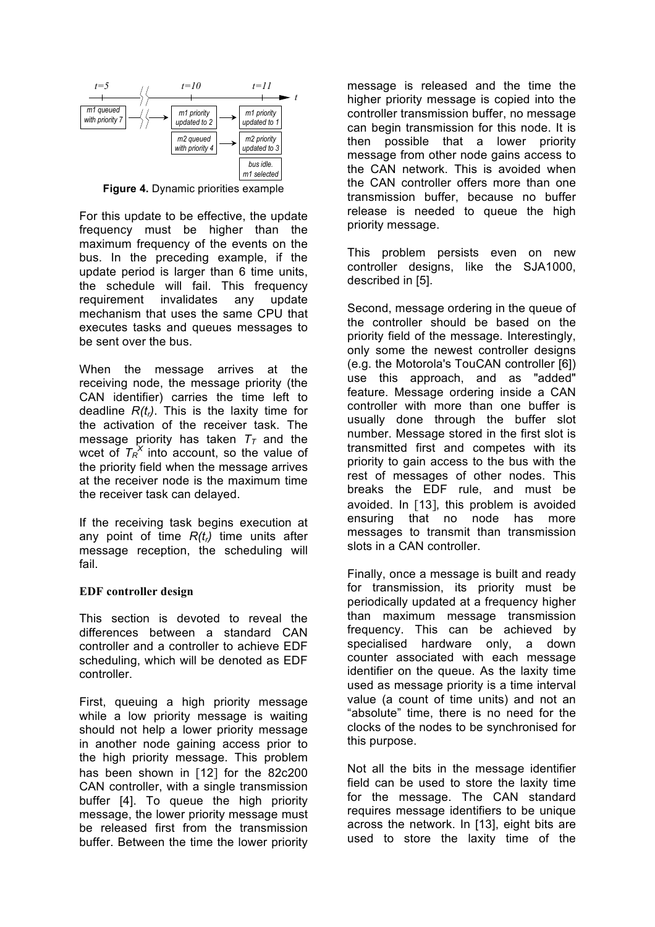

**Figure 4.** Dynamic priorities example

For this update to be effective, the update frequency must be higher than the maximum frequency of the events on the bus. In the preceding example, if the update period is larger than 6 time units, the schedule will fail. This frequency requirement invalidates any update mechanism that uses the same CPU that executes tasks and queues messages to be sent over the bus.

When the message arrives at the receiving node, the message priority (the CAN identifier) carries the time left to deadline  $R(t_r)$ . This is the laxity time for the activation of the receiver task. The message priority has taken  $T<sub>T</sub>$  and the wcet of  $T_R^{\alpha}$  into account, so the value of the priority field when the message arrives at the receiver node is the maximum time the receiver task can delayed.

If the receiving task begins execution at any point of time  $R(t_r)$  time units after message reception, the scheduling will fail.

#### **EDF controller design**

This section is devoted to reveal the differences between a standard CAN controller and a controller to achieve EDF scheduling, which will be denoted as EDF controller.

First, queuing a high priority message while a low priority message is waiting should not help a lower priority message in another node gaining access prior to the high priority message. This problem has been shown in [12] for the 82c200 CAN controller, with a single transmission buffer [4]. To queue the high priority message, the lower priority message must be released first from the transmission buffer. Between the time the lower priority

message is released and the time the higher priority message is copied into the controller transmission buffer, no message can begin transmission for this node. It is then possible that a lower priority message from other node gains access to the CAN network. This is avoided when the CAN controller offers more than one transmission buffer, because no buffer release is needed to queue the high priority message.

This problem persists even on new controller designs, like the SJA1000, described in [5].

Second, message ordering in the queue of the controller should be based on the priority field of the message. Interestingly, only some the newest controller designs (e.g. the Motorola's TouCAN controller [6]) use this approach, and as "added" feature. Message ordering inside a CAN controller with more than one buffer is usually done through the buffer slot number. Message stored in the first slot is transmitted first and competes with its priority to gain access to the bus with the rest of messages of other nodes. This breaks the EDF rule, and must be avoided. In [13], this problem is avoided ensuring that no node has more messages to transmit than transmission slots in a CAN controller.

Finally, once a message is built and ready for transmission, its priority must be periodically updated at a frequency higher than maximum message transmission frequency. This can be achieved by specialised hardware only, a down counter associated with each message identifier on the queue. As the laxity time used as message priority is a time interval value (a count of time units) and not an "absolute" time, there is no need for the clocks of the nodes to be synchronised for this purpose.

Not all the bits in the message identifier field can be used to store the laxity time for the message. The CAN standard requires message identifiers to be unique across the network. In [13], eight bits are used to store the laxity time of the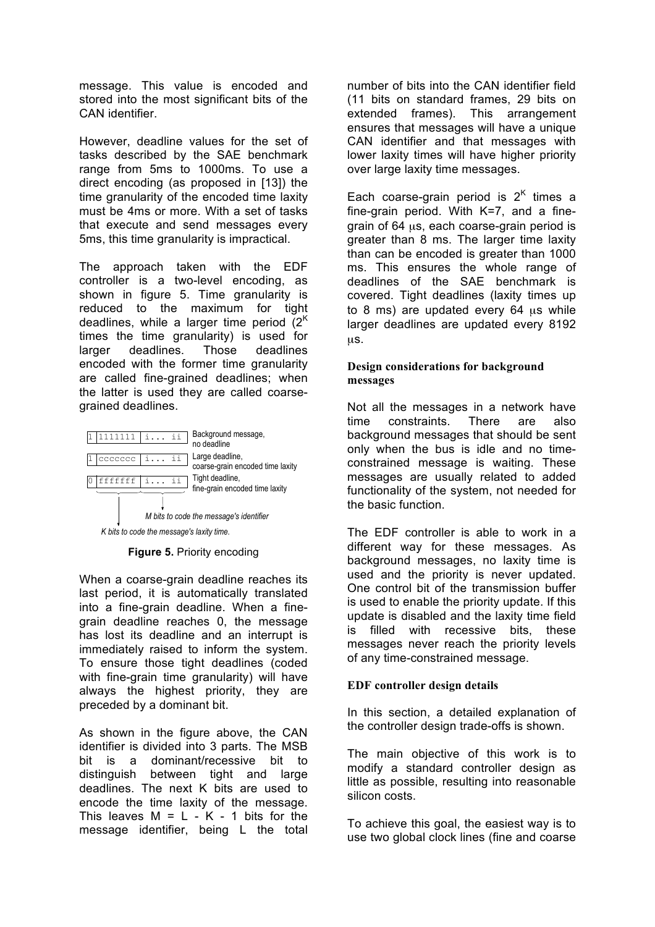message. This value is encoded and stored into the most significant bits of the CAN identifier.

However, deadline values for the set of tasks described by the SAE benchmark range from 5ms to 1000ms. To use a direct encoding (as proposed in [13]) the time granularity of the encoded time laxity must be 4ms or more. With a set of tasks that execute and send messages every 5ms, this time granularity is impractical.

The approach taken with the EDF controller is a two-level encoding, as shown in figure 5. Time granularity is reduced to the maximum for tight deadlines, while a larger time period  $(2<sup>K</sup>)$ times the time granularity) is used for larger deadlines. Those deadlines encoded with the former time granularity are called fine-grained deadlines; when the latter is used they are called coarsegrained deadlines.



**Figure 5.** Priority encoding

When a coarse-grain deadline reaches its last period, it is automatically translated into a fine-grain deadline. When a finegrain deadline reaches 0, the message has lost its deadline and an interrupt is immediately raised to inform the system. To ensure those tight deadlines (coded with fine-grain time granularity) will have always the highest priority, they are preceded by a dominant bit.

As shown in the figure above, the CAN identifier is divided into 3 parts. The MSB bit is a dominant/recessive bit to distinguish between tight and large deadlines. The next K bits are used to encode the time laxity of the message. This leaves  $M = L - K - 1$  bits for the message identifier, being L the total

number of bits into the CAN identifier field (11 bits on standard frames, 29 bits on extended frames). This arrangement ensures that messages will have a unique CAN identifier and that messages with lower laxity times will have higher priority over large laxity time messages.

Each coarse-grain period is  $2<sup>K</sup>$  times a fine-grain period. With K=7, and a finegrain of 64 µs, each coarse-grain period is greater than 8 ms. The larger time laxity than can be encoded is greater than 1000 ms. This ensures the whole range of deadlines of the SAE benchmark is covered. Tight deadlines (laxity times up to 8 ms) are updated every 64 µs while larger deadlines are updated every 8192 µs.

### **Design considerations for background messages**

Not all the messages in a network have time constraints. There are also background messages that should be sent only when the bus is idle and no timeconstrained message is waiting. These messages are usually related to added functionality of the system, not needed for the basic function.

The EDF controller is able to work in a different way for these messages. As background messages, no laxity time is used and the priority is never updated. One control bit of the transmission buffer is used to enable the priority update. If this update is disabled and the laxity time field is filled with recessive bits, these messages never reach the priority levels of any time-constrained message.

## **EDF controller design details**

In this section, a detailed explanation of the controller design trade-offs is shown.

The main objective of this work is to modify a standard controller design as little as possible, resulting into reasonable silicon costs.

To achieve this goal, the easiest way is to use two global clock lines (fine and coarse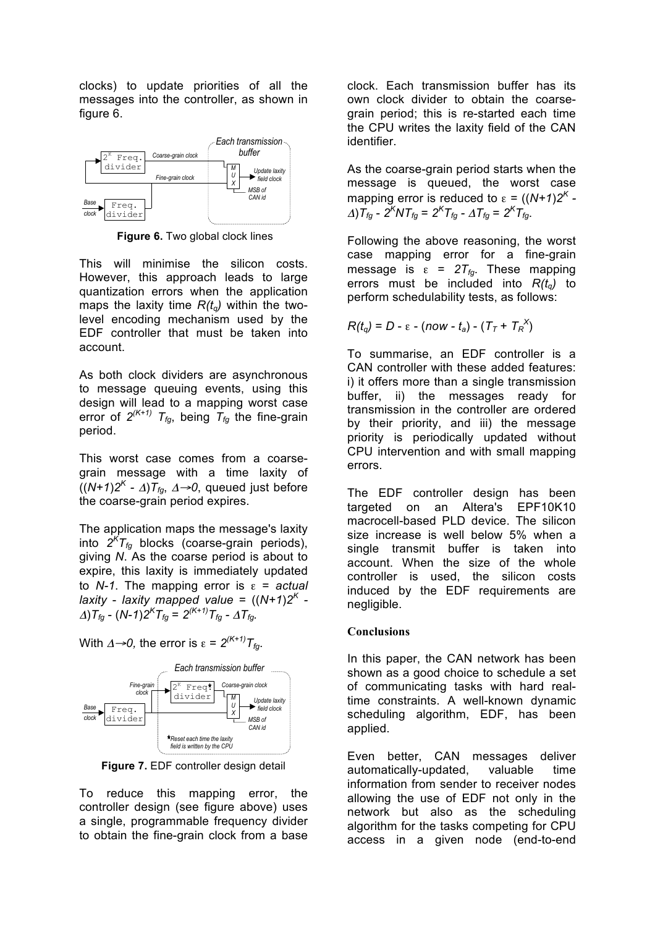clocks) to update priorities of all the messages into the controller, as shown in figure 6.



**Figure 6.** Two global clock lines

This will minimise the silicon costs. However, this approach leads to large quantization errors when the application maps the laxity time  $R(t<sub>a</sub>)$  within the twolevel encoding mechanism used by the EDF controller that must be taken into account.

As both clock dividers are asynchronous to message queuing events, using this design will lead to a mapping worst case error of  $2^{(K+1)}$   $T_{fq}$ , being  $T_{fq}$  the fine-grain period.

This worst case comes from a coarsegrain message with a time laxity of  $((N+1)2<sup>K</sup> - \Delta)T_{fo}$ ,  $\Delta \rightarrow 0$ , queued just before the coarse-grain period expires.

The application maps the message's laxity into  $2^K T_{fg}$  blocks (coarse-grain periods), giving *N*. As the coarse period is about to expire, this laxity is immediately updated to *N-1*. The mapping error is ε = *actual laxity* - *laxity* mapped value =  $((N+1)2<sup>K</sup>$  - $\Delta$ ) $T_{fg}$  -  $(N-1)2^K T_{fg} = 2^{(K+1)} T_{fg}$  -  $\Delta T_{fg}$ .

With  $\Delta \rightarrow 0$ , the error is  $\varepsilon = 2^{(K+1)}T_{\text{fa}}$ .



**Figure 7.** EDF controller design detail

To reduce this mapping error, the controller design (see figure above) uses a single, programmable frequency divider to obtain the fine-grain clock from a base clock. Each transmission buffer has its own clock divider to obtain the coarsegrain period; this is re-started each time the CPU writes the laxity field of the CAN identifier.

As the coarse-grain period starts when the message is queued, the worst case mapping error is reduced to  $\varepsilon = ((N+1)2^{K} \Delta$ ) $T_{fg}$  -  $2^K N T_{fg} = 2^K T_{fg}$  -  $\Delta T_{fg} = 2^K T_{fg}$ .

Following the above reasoning, the worst case mapping error for a fine-grain message is  $\varepsilon = 2T_{fq}$ . These mapping errors must be included into  $R(t_q)$  to perform schedulability tests, as follows:

$$
R(t_q) = D - \varepsilon - (now - t_a) - (T_T + T_R^X)
$$

To summarise, an EDF controller is a CAN controller with these added features: i) it offers more than a single transmission buffer, ii) the messages ready for transmission in the controller are ordered by their priority, and iii) the message priority is periodically updated without CPU intervention and with small mapping errors.

The EDF controller design has been targeted on an Altera's EPF10K10 macrocell-based PLD device. The silicon size increase is well below 5% when a single transmit buffer is taken into account. When the size of the whole controller is used, the silicon costs induced by the EDF requirements are negligible.

#### **Conclusions**

In this paper, the CAN network has been shown as a good choice to schedule a set of communicating tasks with hard realtime constraints. A well-known dynamic scheduling algorithm, EDF, has been applied.

Even better, CAN messages deliver automatically-updated, valuable time information from sender to receiver nodes allowing the use of EDF not only in the network but also as the scheduling algorithm for the tasks competing for CPU access in a given node (end-to-end